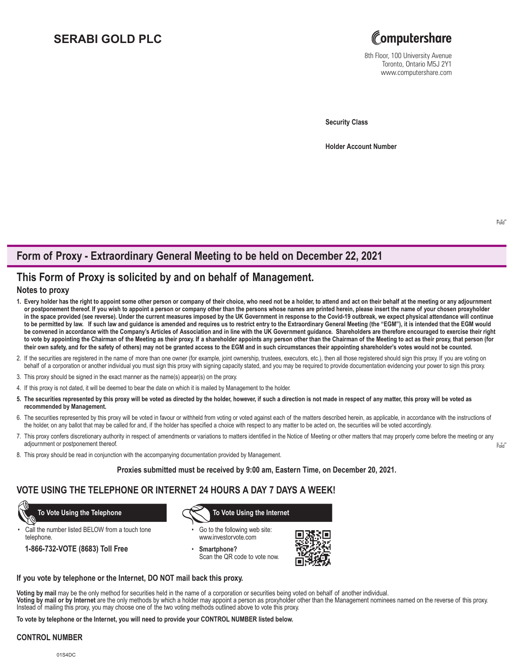# **SERABI GOLD PLC**



8th Floor, 100 University Avenue Toronto, Ontario M5J 2Y1 www.computershare.com

**Security Class**

**Holder Account Number** 

## **Form of Proxy - Extraordinary General Meeting to be held on December 22, 2021**

## **This Form of Proxy is solicited by and on behalf of Management.**

## **Notes to proxy**

- **1. Every holder has the right to appoint some other person or company of their choice, who need not be a holder, to attend and act on their behalf at the meeting or any adjournment or postponement thereof. If you wish to appoint a person or company other than the persons whose names are printed herein, please insert the name of your chosen proxyholder in the space provided (see reverse). Under the current measures imposed by the UK Government in response to the Covid-19 outbreak, we expect physical attendance will continue to be permitted by law. If such law and guidance is amended and requires us to restrict entry to the Extraordinary General Meeting (the "EGM"), it is intended that the EGM would be convened in accordance with the Company's Articles of Association and in line with the UK Government guidance. Shareholders are therefore encouraged to exercise their right to vote by appointing the Chairman of the Meeting as their proxy. If a shareholder appoints any person other than the Chairman of the Meeting to act as their proxy, that person (for their own safety, and for the safety of others) may not be granted access to the EGM and in such circumstances their appointing shareholder's votes would not be counted.**
- 2. If the securities are registered in the name of more than one owner (for example, joint ownership, trustees, executors, etc.), then all those registered should sign this proxy. If you are voting on behalf of a corporation or another individual you must sign this proxy with signing capacity stated, and you may be required to provide documentation evidencing your power to sign this proxy.
- 3. This proxy should be signed in the exact manner as the name(s) appear(s) on the proxy.
- 4. If this proxy is not dated, it will be deemed to bear the date on which it is mailed by Management to the holder.
- **5. The securities represented by this proxy will be voted as directed by the holder, however, if such a direction is not made in respect of any matter, this proxy will be voted as recommended by Management.**
- 6. The securities represented by this proxy will be voted in favour or withheld from voting or voted against each of the matters described herein, as applicable, in accordance with the instructions of the holder, on any ballot that may be called for and, if the holder has specified a choice with respect to any matter to be acted on, the securities will be voted accordingly.
- Fold 7. This proxy confers discretionary authority in respect of amendments or variations to matters identified in the Notice of Meeting or other matters that may properly come before the meeting or any adjournment or postponement thereof.
- 8. This proxy should be read in conjunction with the accompanying documentation provided by Management.

**Proxies submitted must be received by 9:00 am, Eastern Time, on December 20, 2021.**

## **VOTE USING THE TELEPHONE OR INTERNET 24 HOURS A DAY 7 DAYS A WEEK!**

Call the number listed BELOW from a touch tone telephone.

**1-866-732-VOTE (8683) Toll Free**

 **To Vote Using the Telephone To Vote Using the Internet**

- Go to the following web site: www.investorvote.com
- **Smartphone?** Scan the QR code to vote now.



#### **If you vote by telephone or the Internet, DO NOT mail back this proxy.**

**Voting by mail** may be the only method for securities held in the name of a corporation or securities being voted on behalf of another individual.

**Voting by mail or by Internet** are the only methods by which a holder may appoint a person as proxyholder other than the Management nominees named on the reverse of this proxy. Instead of mailing this proxy, you may choose one of the two voting methods outlined above to vote this proxy.

**To vote by telephone or the Internet, you will need to provide your CONTROL NUMBER listed below.**

### **CONTROL NUMBER**